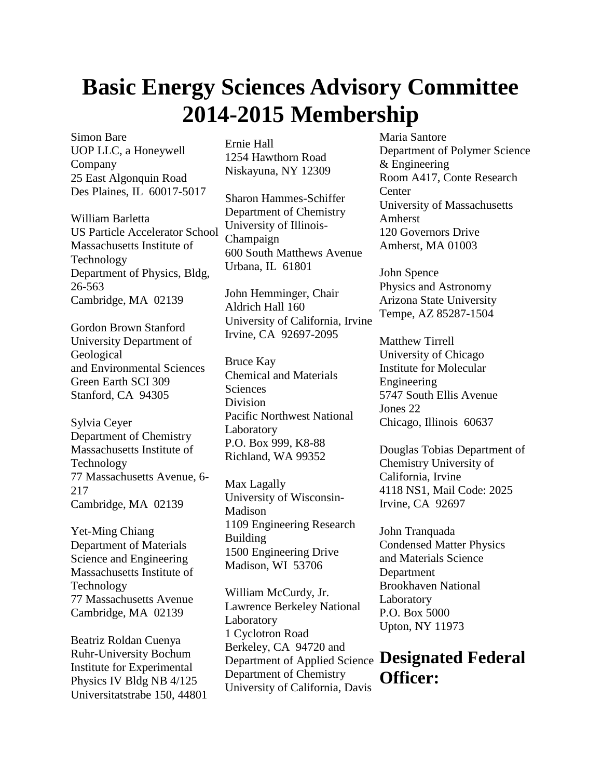## **Basic Energy Sciences Advisory Committee 2014-2015 Membership**

Simon Bare UOP LLC, a Honeywell Company 25 East Algonquin Road Des Plaines, IL 60017-5017

William Barletta US Particle Accelerator School Massachusetts Institute of Technology Department of Physics, Bldg, 26-563 Cambridge, MA 02139

Gordon Brown Stanford University Department of Geological and Environmental Sciences Green Earth SCI 309 Stanford, CA 94305

Sylvia Ceyer Department of Chemistry Massachusetts Institute of Technology 77 Massachusetts Avenue, 6- 217 Cambridge, MA 02139

Yet-Ming Chiang Department of Materials Science and Engineering Massachusetts Institute of Technology 77 Massachusetts Avenue Cambridge, MA 02139

Beatriz Roldan Cuenya Ruhr-University Bochum Institute for Experimental Physics IV Bldg NB 4/125 Universitatstrabe 150, 44801 Ernie Hall 1254 Hawthorn Road Niskayuna, NY 12309

Sharon Hammes-Schiffer Department of Chemistry University of Illinois-Champaign 600 South Matthews Avenue Urbana, IL 61801

John Hemminger, Chair Aldrich Hall 160 University of California, Irvine Irvine, CA 92697-2095

Bruce Kay Chemical and Materials **Sciences** Division Pacific Northwest National Laboratory P.O. Box 999, K8-88 Richland, WA 99352

Max Lagally University of Wisconsin-Madison 1109 Engineering Research Building 1500 Engineering Drive Madison, WI 53706

William McCurdy, Jr. Lawrence Berkeley National Laboratory 1 Cyclotron Road Berkeley, CA 94720 and Department of Chemistry University of California, Davis Maria Santore Department of Polymer Science & Engineering Room A417, Conte Research **Center** University of Massachusetts Amherst 120 Governors Drive Amherst, MA 01003

John Spence Physics and Astronomy Arizona State University Tempe, AZ 85287-1504

Matthew Tirrell University of Chicago Institute for Molecular Engineering 5747 South Ellis Avenue Jones 22 Chicago, Illinois 60637

Douglas Tobias Department of Chemistry University of California, Irvine 4118 NS1, Mail Code: 2025 Irvine, CA 92697

John Tranquada Condensed Matter Physics and Materials Science Department Brookhaven National Laboratory P.O. Box 5000 Upton, NY 11973

## Department of Applied Science **Designated Federal Officer:**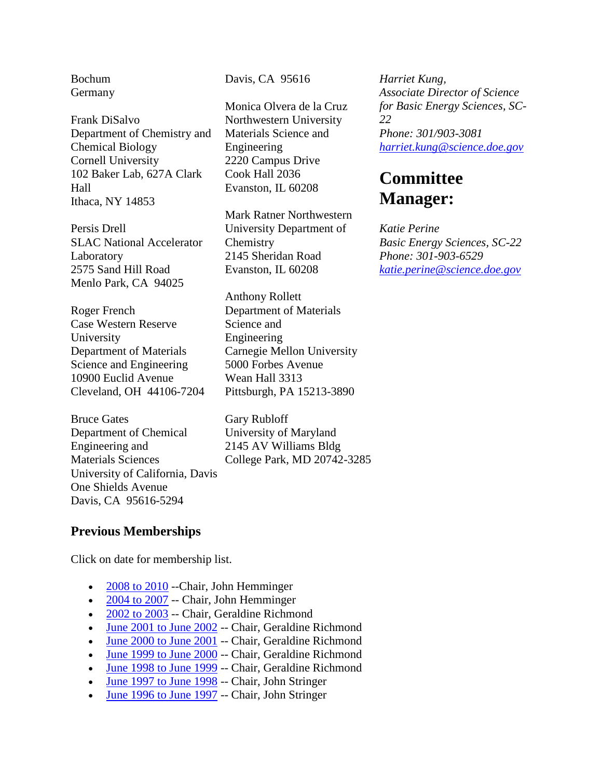Bochum Germany

Frank DiSalvo Department of Chemistry and Chemical Biology Cornell University 102 Baker Lab, 627A Clark Hall Ithaca, NY 14853

Persis Drell SLAC National Accelerator Laboratory 2575 Sand Hill Road Menlo Park, CA 94025

Roger French Case Western Reserve University Department of Materials Science and Engineering 10900 Euclid Avenue Cleveland, OH 44106-7204

Bruce Gates Department of Chemical Engineering and Materials Sciences University of California, Davis One Shields Avenue Davis, CA 95616-5294

Davis, CA 95616

Monica Olvera de la Cruz Northwestern University Materials Science and Engineering 2220 Campus Drive Cook Hall 2036 Evanston, IL 60208

Mark Ratner Northwestern University Department of Chemistry 2145 Sheridan Road Evanston, IL 60208

Anthony Rollett Department of Materials Science and Engineering Carnegie Mellon University 5000 Forbes Avenue Wean Hall 3313 Pittsburgh, PA 15213-3890

Gary Rubloff University of Maryland 2145 AV Williams Bldg College Park, MD 20742-3285

*Harriet Kung, Associate Director of Science for Basic Energy Sciences, SC-22 Phone: 301/903-3081 [harriet.kung@science.doe.gov](mailto:harriet.kung@science.doe.gov)*

## **Committee Manager:**

*Katie Perine Basic Energy Sciences, SC-22 Phone: 301-903-6529 [katie.perine@science.doe.gov](mailto:katie.perine@science.doe.gov)*

## **Previous Memberships**

Click on date for membership list.

- 2008 to 2010 --Chair, John Hemminger
- 2004 to 2007 -- Chair, John Hemminger
- 2002 to 2003 -- Chair, Geraldine Richmond
- June 2001 to June 2002 -- Chair, Geraldine Richmond
- June 2000 to June 2001 -- Chair, Geraldine Richmond
- $\frac{June\ 1999\ to\ June\ 2000}{}$  -- Chair, Geraldine Richmond
- June 1998 to June 1999 -- Chair, Geraldine Richmond
- June 1997 to June 1998 -- Chair, John Stringer
- June 1996 to June 1997 -- Chair, John Stringer